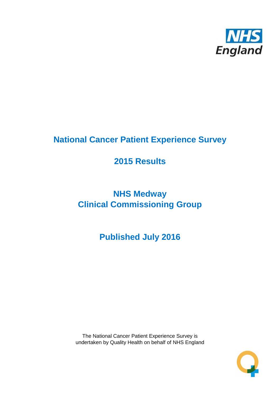

# **National Cancer Patient Experience Survey**

# **2015 Results**

# **NHS Medway Clinical Commissioning Group**

**Published July 2016**

The National Cancer Patient Experience Survey is undertaken by Quality Health on behalf of NHS England

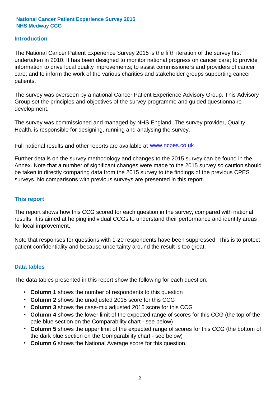#### **Introduction**

The National Cancer Patient Experience Survey 2015 is the fifth iteration of the survey first undertaken in 2010. It has been designed to monitor national progress on cancer care; to provide information to drive local quality improvements; to assist commissioners and providers of cancer care; and to inform the work of the various charities and stakeholder groups supporting cancer patients.

The survey was overseen by a national Cancer Patient Experience Advisory Group. This Advisory Group set the principles and objectives of the survey programme and guided questionnaire development.

The survey was commissioned and managed by NHS England. The survey provider, Quality Health, is responsible for designing, running and analysing the survey.

Full national results and other reports are available at www.ncpes.co.uk

Further details on the survey methodology and changes to the 2015 survey can be found in the Annex. Note that a number of significant changes were made to the 2015 survey so caution should be taken in directly comparing data from the 2015 survey to the findings of the previous CPES surveys. No comparisons with previous surveys are presented in this report.

#### **This report**

The report shows how this CCG scored for each question in the survey, compared with national results. It is aimed at helping individual CCGs to understand their performance and identify areas for local improvement.

Note that responses for questions with 1-20 respondents have been suppressed. This is to protect patient confidentiality and because uncertainty around the result is too great.

#### **Data tables**

The data tables presented in this report show the following for each question:

- **Column 1** shows the number of respondents to this question
- **Column 2** shows the unadjusted 2015 score for this CCG
- **Column 3** shows the case-mix adjusted 2015 score for this CCG
- **Column 4** shows the lower limit of the expected range of scores for this CCG (the top of the pale blue section on the Comparability chart - see below)
- **Column 5** shows the upper limit of the expected range of scores for this CCG (the bottom of the dark blue section on the Comparability chart - see below)
- **Column 6** shows the National Average score for this question.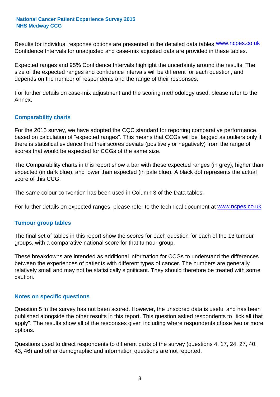Results for individual response options are presented in the detailed data tables **WWW.ncpes.co.uk** Confidence Intervals for unadjusted and case-mix adjusted data are provided in these tables.

Expected ranges and 95% Confidence Intervals highlight the uncertainty around the results. The size of the expected ranges and confidence intervals will be different for each question, and depends on the number of respondents and the range of their responses.

For further details on case-mix adjustment and the scoring methodology used, please refer to the Annex.

#### **Comparability charts**

For the 2015 survey, we have adopted the CQC standard for reporting comparative performance, based on calculation of "expected ranges". This means that CCGs will be flagged as outliers only if there is statistical evidence that their scores deviate (positively or negatively) from the range of scores that would be expected for CCGs of the same size.

The Comparability charts in this report show a bar with these expected ranges (in grey), higher than expected (in dark blue), and lower than expected (in pale blue). A black dot represents the actual score of this CCG.

The same colour convention has been used in Column 3 of the Data tables.

For further details on expected ranges, please refer to the technical document at **www.ncpes.co.uk** 

#### **Tumour group tables**

The final set of tables in this report show the scores for each question for each of the 13 tumour groups, with a comparative national score for that tumour group.

These breakdowns are intended as additional information for CCGs to understand the differences between the experiences of patients with different types of cancer. The numbers are generally relatively small and may not be statistically significant. They should therefore be treated with some caution.

#### **Notes on specific questions**

Question 5 in the survey has not been scored. However, the unscored data is useful and has been published alongside the other results in this report. This question asked respondents to "tick all that apply". The results show all of the responses given including where respondents chose two or more options.

Questions used to direct respondents to different parts of the survey (questions 4, 17, 24, 27, 40, 43, 46) and other demographic and information questions are not reported.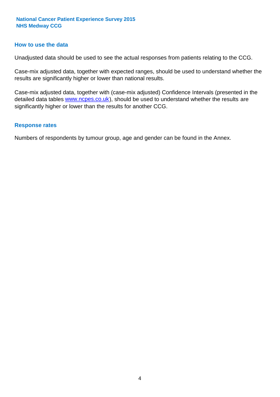#### **How to use the data**

Unadjusted data should be used to see the actual responses from patients relating to the CCG.

Case-mix adjusted data, together with expected ranges, should be used to understand whether the results are significantly higher or lower than national results.

Case-mix adjusted data, together with (case-mix adjusted) Confidence Intervals (presented in the detailed data tables **www.ncpes.co.uk**), should be used to understand whether the results are significantly higher or lower than the results for another CCG.

#### **Response rates**

Numbers of respondents by tumour group, age and gender can be found in the Annex.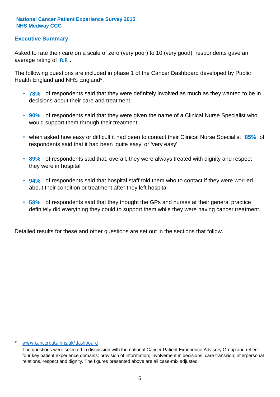#### **Executive Summary**

average rating of **8.8**. Asked to rate their care on a scale of zero (very poor) to 10 (very good), respondents gave an

The following questions are included in phase 1 of the Cancer Dashboard developed by Public Health England and NHS England\*:

- **78%** of respondents said that they were definitely involved as much as they wanted to be in decisions about their care and treatment
- **90%** of respondents said that they were given the name of a Clinical Nurse Specialist who would support them through their treatment
- when asked how easy or difficult it had been to contact their Clinical Nurse Specialist 85% of respondents said that it had been 'quite easy' or 'very easy'
- **89%** of respondents said that, overall, they were always treated with dignity and respect they were in hospital
- **94%** of respondents said that hospital staff told them who to contact if they were worried about their condition or treatment after they left hospital
- **58%** of respondents said that they thought the GPs and nurses at their general practice definitely did everything they could to support them while they were having cancer treatment.

Detailed results for these and other questions are set out in the sections that follow.

#### \* www.cancerdata.nhs.uk/dashboard

The questions were selected in discussion with the national Cancer Patient Experience Advisory Group and reflect four key patient experience domains: provision of information; involvement in decisions; care transition; interpersonal relations, respect and dignity. The figures presented above are all case-mix adjusted.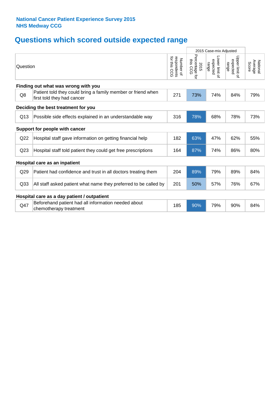## **Questions which scored outside expected range**

|                 |                                                                                            |                                              | 2015 Case-mix Adjusted              |                                     |                                     |                              |
|-----------------|--------------------------------------------------------------------------------------------|----------------------------------------------|-------------------------------------|-------------------------------------|-------------------------------------|------------------------------|
| Question        |                                                                                            | for this<br>respondents<br>Number of<br>င္ပင | Percentage<br>this CCG<br>2015<br>ţ | Lower limit of<br>expected<br>range | Upper limit of<br>expected<br>range | National<br>Average<br>Score |
|                 | Finding out what was wrong with you                                                        |                                              |                                     |                                     |                                     |                              |
| Q8              | Patient told they could bring a family member or friend when<br>first told they had cancer | 271                                          | 73%                                 | 74%                                 | 84%                                 | 79%                          |
|                 | Deciding the best treatment for you                                                        |                                              |                                     |                                     |                                     |                              |
| Q13             | Possible side effects explained in an understandable way                                   | 316                                          | 78%                                 | 68%                                 | 78%                                 | 73%                          |
|                 | Support for people with cancer                                                             |                                              |                                     |                                     |                                     |                              |
| Q22             | Hospital staff gave information on getting financial help                                  | 182                                          | 63%                                 | 47%                                 | 62%                                 | 55%                          |
| Q <sub>23</sub> | Hospital staff told patient they could get free prescriptions                              | 164                                          | 87%                                 | 74%                                 | 86%                                 | 80%                          |
|                 | Hospital care as an inpatient                                                              |                                              |                                     |                                     |                                     |                              |
| Q29             | Patient had confidence and trust in all doctors treating them                              | 204                                          | 89%                                 | 79%                                 | 89%                                 | 84%                          |
| Q <sub>33</sub> | All staff asked patient what name they preferred to be called by                           | 201                                          | 50%                                 | 57%                                 | 76%                                 | 67%                          |
|                 | Hospital care as a day patient / outpatient                                                |                                              |                                     |                                     |                                     |                              |
| Q47             | Beforehand patient had all information needed about<br>chemotherapy treatment              | 185                                          | 90%                                 | 79%                                 | 90%                                 | 84%                          |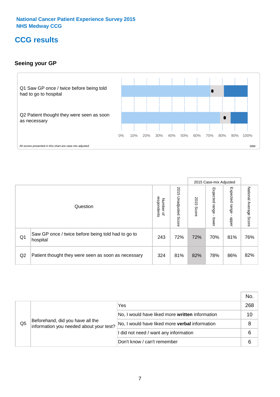## **CCG results**

#### **Seeing your GP**



|    |                                                                |                          |                             |               | 2015 Case-mix Adjusted     |                            |                           |
|----|----------------------------------------------------------------|--------------------------|-----------------------------|---------------|----------------------------|----------------------------|---------------------------|
|    | Question                                                       | respondents<br>Number of | 2015<br>Unadjusted<br>Score | 2015<br>Score | Expected<br>range<br>lower | Expected<br>range<br>nbber | National Average<br>Score |
| Q1 | Saw GP once / twice before being told had to go to<br>hospital | 243                      | 72%                         | 72%           | 70%                        | 81%                        | 76%                       |
| Q2 | Patient thought they were seen as soon as necessary            | 324                      | 81%                         | 82%           | 78%                        | 86%                        | 82%                       |

|    |                                                                             |                                                 | No. |
|----|-----------------------------------------------------------------------------|-------------------------------------------------|-----|
|    | Beforehand, did you have all the<br>information you needed about your test? | Yes                                             | 268 |
|    |                                                                             | No, I would have liked more written information | 10  |
| Q5 |                                                                             | No, I would have liked more verbal information  | 8   |
|    |                                                                             | I did not need / want any information           | 6   |
|    |                                                                             | Don't know / can't remember                     | 6   |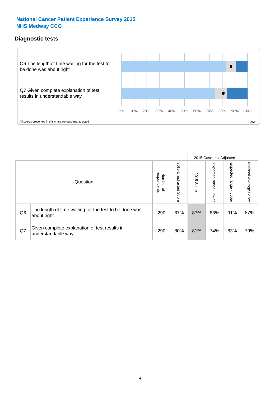#### **Diagnostic tests**



|                |                                                                       |                                       |                             |               | 2015 Case-mix Adjusted  |                         |                           |
|----------------|-----------------------------------------------------------------------|---------------------------------------|-----------------------------|---------------|-------------------------|-------------------------|---------------------------|
|                | Question                                                              | respondents<br>Number<br>$\mathbf{Q}$ | 2015<br>Unadjusted<br>Score | 2015<br>Score | Expected range<br>lower | Expected range<br>nbber | National Average<br>Score |
| Q <sub>6</sub> | The length of time waiting for the test to be done was<br>about right | 290                                   | 87%                         | 87%           | 83%                     | 91%                     | 87%                       |
| Q7             | Given complete explanation of test results in<br>understandable way   | 290                                   | 80%                         | 81%           | 74%                     | 83%                     | 79%                       |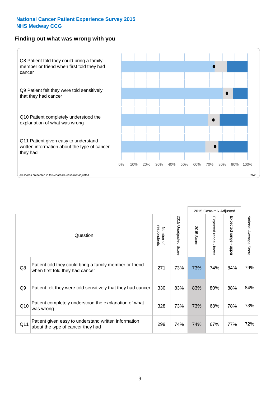#### **Finding out what was wrong with you**



|     |                                                                                            |                          |                             |                      | 2015 Case-mix Adjusted                  |                                         |                        |
|-----|--------------------------------------------------------------------------------------------|--------------------------|-----------------------------|----------------------|-----------------------------------------|-----------------------------------------|------------------------|
|     | Question                                                                                   | respondents<br>Number of | 2015<br>Unadjusted<br>Score | 2015<br><b>Score</b> | Expected range<br>$\mathbf{I}$<br>lower | Expected range<br>$\mathbf{r}$<br>nbber | National Average Score |
| Q8  | Patient told they could bring a family member or friend<br>when first told they had cancer | 271                      | 73%                         | 73%                  | 74%                                     | 84%                                     | 79%                    |
| Q9  | Patient felt they were told sensitively that they had cancer                               | 330                      | 83%                         | 83%                  | 80%                                     | 88%                                     | 84%                    |
| Q10 | Patient completely understood the explanation of what<br>was wrong                         | 328                      | 73%                         | 73%                  | 68%                                     | 78%                                     | 73%                    |
| Q11 | Patient given easy to understand written information<br>about the type of cancer they had  | 299                      | 74%                         | 74%                  | 67%                                     | 77%                                     | 72%                    |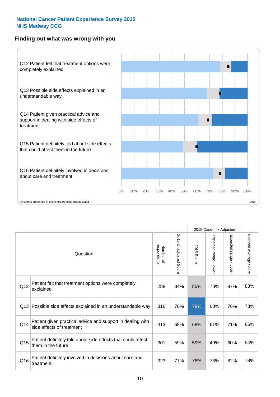#### **Finding out what was wrong with you**



|          |                                                                                         |                          |                                 |               | 2015 Case-mix Adjusted                    |                        |                        |
|----------|-----------------------------------------------------------------------------------------|--------------------------|---------------------------------|---------------|-------------------------------------------|------------------------|------------------------|
| Question |                                                                                         | Number of<br>respondents | 2015<br><b>Unadjusted Score</b> | 2015<br>Score | Expected range<br>$\blacksquare$<br>lower | Expected range - upper | National Average Score |
| Q12      | Patient felt that treatment options were completely<br>explained                        | 288                      | 84%                             | 85%           | 78%                                       | 87%                    | 83%                    |
| Q13      | Possible side effects explained in an understandable way                                | 316                      | 78%                             | 78%           | 68%                                       | 78%                    | 73%                    |
| Q14      | Patient given practical advice and support in dealing with<br>side effects of treatment | 313                      | 68%                             | 68%           | 61%                                       | 71%                    | 66%                    |
| Q15      | Patient definitely told about side effects that could affect<br>them in the future      | 301                      | 59%                             | 59%           | 49%                                       | 60%                    | 54%                    |
| Q16      | Patient definitely involved in decisions about care and<br>treatment                    | 323                      | 77%                             | 78%           | 73%                                       | 82%                    | 78%                    |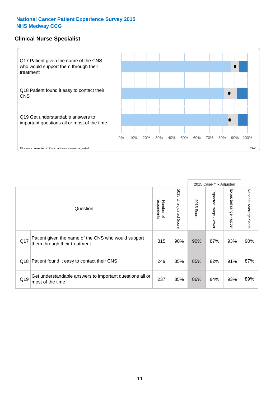#### **Clinical Nurse Specialist**



|     |                                                                                     |                          |                       |               | 2015 Case-mix Adjusted  |                         |                        |
|-----|-------------------------------------------------------------------------------------|--------------------------|-----------------------|---------------|-------------------------|-------------------------|------------------------|
|     | Question                                                                            | Number of<br>respondents | 2015 Unadjusted Score | 2015<br>Score | Expected range<br>lower | Expected range<br>nbber | National Average Score |
| Q17 | Patient given the name of the CNS who would support<br>them through their treatment | 315                      | 90%                   | 90%           | 87%                     | 93%                     | 90%                    |
| Q18 | Patient found it easy to contact their CNS                                          | 249                      | 85%                   | 85%           | 82%                     | 91%                     | 87%                    |
| Q19 | Get understandable answers to important questions all or<br>most of the time        | 237                      | 85%                   | 86%           | 84%                     | 93%                     | 89%                    |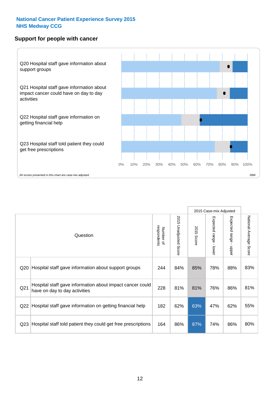#### **Support for people with cancer**



|                 |                                                                                            |                          |                                 |               | 2015 Case-mix Adjusted  |                                           |                        |
|-----------------|--------------------------------------------------------------------------------------------|--------------------------|---------------------------------|---------------|-------------------------|-------------------------------------------|------------------------|
|                 | Question                                                                                   | respondents<br>Number of | 2015<br><b>Unadjusted Score</b> | 2015<br>Score | Expected range<br>lower | Expected range<br>$\blacksquare$<br>nbber | National Average Score |
| Q20             | Hospital staff gave information about support groups                                       | 244                      | 84%                             | 85%           | 78%                     | 88%                                       | 83%                    |
| Q <sub>21</sub> | Hospital staff gave information about impact cancer could<br>have on day to day activities | 228                      | 81%                             | 81%           | 76%                     | 86%                                       | 81%                    |
| Q22             | Hospital staff gave information on getting financial help                                  | 182                      | 62%                             | 63%           | 47%                     | 62%                                       | 55%                    |
| Q <sub>23</sub> | Hospital staff told patient they could get free prescriptions                              | 164                      | 86%                             | 87%           | 74%                     | 86%                                       | 80%                    |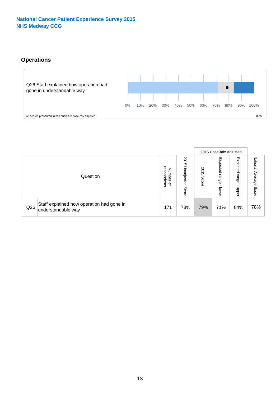#### **Operations**



|     |                                                                 |                                              |                             |                   | 2015 Case-mix Adjusted     |                            |                              |
|-----|-----------------------------------------------------------------|----------------------------------------------|-----------------------------|-------------------|----------------------------|----------------------------|------------------------------|
|     | Question                                                        | respondents<br>Number<br>$\overline{\sigma}$ | 2015<br>Unadjusted<br>Score | 201<br>ຕ<br>Score | Expected<br>range<br>lower | Expected<br>range<br>doper | National<br>Average<br>Score |
| Q26 | Staff explained how operation had gone in<br>understandable way | 171                                          | 78%                         | 79%               | 71%                        | 84%                        | 78%                          |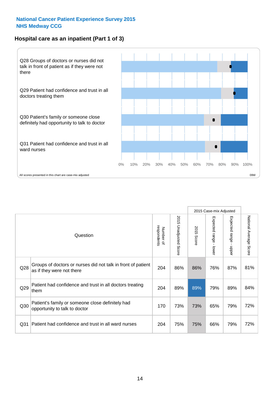#### **Hospital care as an inpatient (Part 1 of 3)**



All scores presented in this chart are case-mix adjusted  $09W$ 

|                 |                                                                                           |                          |                       |                      | 2015 Case-mix Adjusted                  |                                           |                        |
|-----------------|-------------------------------------------------------------------------------------------|--------------------------|-----------------------|----------------------|-----------------------------------------|-------------------------------------------|------------------------|
|                 | Question                                                                                  | respondents<br>Number of | 2015 Unadjusted Score | 2015<br><b>Score</b> | Expected range<br>$\mathbf{r}$<br>lower | Expected range<br>$\blacksquare$<br>nbber | National Average Score |
| Q28             | Groups of doctors or nurses did not talk in front of patient<br>as if they were not there | 204                      | 86%                   | 86%                  | 76%                                     | 87%                                       | 81%                    |
| Q29             | Patient had confidence and trust in all doctors treating<br>them                          | 204                      | 89%                   | 89%                  | 79%                                     | 89%                                       | 84%                    |
| Q30             | Patient's family or someone close definitely had<br>opportunity to talk to doctor         | 170                      | 73%                   | 73%                  | 65%                                     | 79%                                       | 72%                    |
| Q <sub>31</sub> | Patient had confidence and trust in all ward nurses                                       | 204                      | 75%                   | 75%                  | 66%                                     | 79%                                       | 72%                    |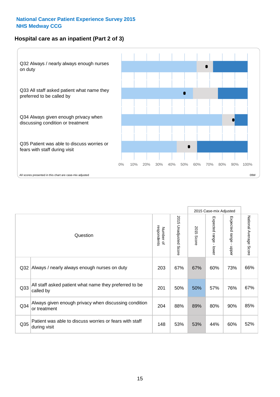#### **Hospital care as an inpatient (Part 2 of 3)**



|                 |                                                                         |                          |                       |                      | 2015 Case-mix Adjusted |                                         |                        |
|-----------------|-------------------------------------------------------------------------|--------------------------|-----------------------|----------------------|------------------------|-----------------------------------------|------------------------|
|                 | Question                                                                | respondents<br>Number of | 2015 Unadjusted Score | 2015<br><b>Score</b> | Expected range - lower | Expected range<br>$\mathbf{r}$<br>nbber | National Average Score |
| Q32             | Always / nearly always enough nurses on duty                            | 203                      | 67%                   | 67%                  | 60%                    | 73%                                     | 66%                    |
| Q <sub>33</sub> | All staff asked patient what name they preferred to be<br>called by     | 201                      | 50%                   | 50%                  | 57%                    | 76%                                     | 67%                    |
| Q <sub>34</sub> | Always given enough privacy when discussing condition<br>or treatment   | 204                      | 88%                   | 89%                  | 80%                    | 90%                                     | 85%                    |
| Q <sub>35</sub> | Patient was able to discuss worries or fears with staff<br>during visit | 148                      | 53%                   | 53%                  | 44%                    | 60%                                     | 52%                    |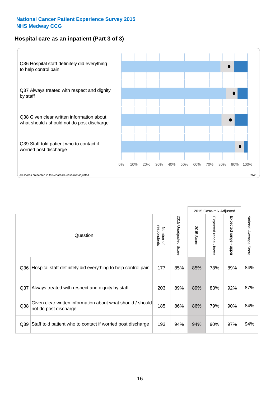#### **Hospital care as an inpatient (Part 3 of 3)**



2015 Case-mix Adjusted National Average Score 2015 Unadjusted Score Expected range - lower Expected range - upper 2015 Unadjusted Score Expected range - upper Expected range - lower Number of<br>respondents respondents 2015 Score 2015 Score Number of Question Q36 Rospital staff definitely did everything to help control pain | 177 | 85% | 85% | 78% | 89% | 84% Q37 Always treated with respect and dignity by staff  $\vert$  203 | 89% | 89% | 83% | 92% | 87% Given clear written information about what should / should Q38 not do post discharge and the state what should be should be a series and the series of the series and the series of the series and the series and the series of the series and the series of the series and the series of Q39 Staff told patient who to contact if worried post discharge | 193 | 94% | 94% | 90% | 97% | 94%

National Average Score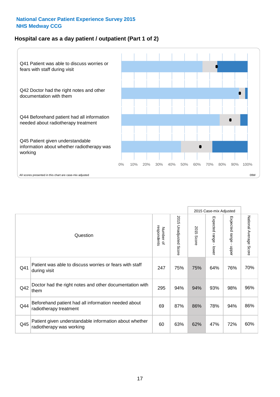#### **Hospital care as a day patient / outpatient (Part 1 of 2)**



|     |                                                                                    |                          |                                 |                      | 2015 Case-mix Adjusted                  |                                         |                        |
|-----|------------------------------------------------------------------------------------|--------------------------|---------------------------------|----------------------|-----------------------------------------|-----------------------------------------|------------------------|
|     | Question                                                                           | respondents<br>Number of | 2015<br><b>Unadjusted Score</b> | 2015<br><b>Score</b> | Expected range<br>$\mathbf{I}$<br>lower | Expected range<br>$\mathbf{I}$<br>nbber | National Average Score |
| Q41 | Patient was able to discuss worries or fears with staff<br>during visit            | 247                      | 75%                             | 75%                  | 64%                                     | 76%                                     | 70%                    |
| Q42 | Doctor had the right notes and other documentation with<br>them                    | 295                      | 94%                             | 94%                  | 93%                                     | 98%                                     | 96%                    |
| Q44 | Beforehand patient had all information needed about<br>radiotherapy treatment      | 69                       | 87%                             | 86%                  | 78%                                     | 94%                                     | 86%                    |
| Q45 | Patient given understandable information about whether<br>radiotherapy was working | 60                       | 63%                             | 62%                  | 47%                                     | 72%                                     | 60%                    |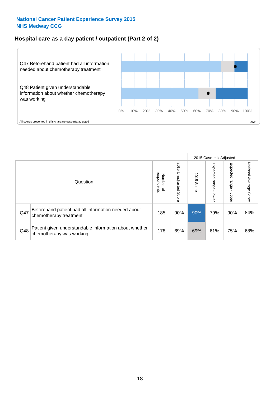#### **Hospital care as a day patient / outpatient (Part 2 of 2)**



|     |                                                                                    |                                       |                             |               | 2015 Case-mix Adjusted      |                            |                           |
|-----|------------------------------------------------------------------------------------|---------------------------------------|-----------------------------|---------------|-----------------------------|----------------------------|---------------------------|
|     | Question                                                                           | respondents<br>Number<br>$\mathbf{Q}$ | 2015<br>Unadjusted<br>Score | 2015<br>Score | Expected<br>Irange<br>lower | Expected<br>range<br>doper | National Average<br>Score |
| Q47 | Beforehand patient had all information needed about<br>chemotherapy treatment      | 185                                   | 90%                         | 90%           | 79%                         | 90%                        | 84%                       |
| Q48 | Patient given understandable information about whether<br>chemotherapy was working | 178                                   | 69%                         | 69%           | 61%                         | 75%                        | 68%                       |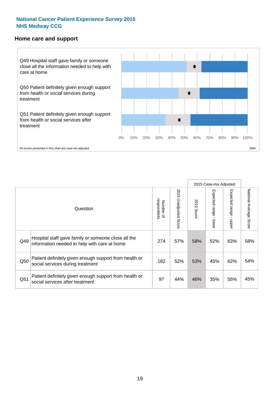#### **Home care and support**



2015 Case-mix Adjusted 2015 Unadjusted Score Expected range - upper National Average Score 2015 Unadjusted Score Expected range - lower National Average Score Expected range - lower Expected range - upper Number of<br>respondents 2015 Score respondents 2015 Score Number of Question Hospital staff gave family or someone close all the  $Q49$  information needed to help with care at home  $274$  |  $57\%$  |  $58\%$  |  $52\%$  |  $63\%$  |  $58\%$ Patient definitely given enough support from health or Q50 social services during treatment 182 | 52% 53% 45% 62% 54% Patient definitely given enough support from health or  $\frac{1}{251}$  social services after treatment  $\frac{1}{25}$  and  $\frac{1}{25\%}$  and  $\frac{1}{25\%}$  and  $\frac{1}{25\%}$  and  $\frac{1}{25\%}$  and  $\frac{1}{25\%}$  and  $\frac{1}{25\%}$  and  $\frac{1}{25\%}$  and  $\frac{1}{25\%}$  and  $\frac{1}{25\%}$  and  $\frac{1}{25\$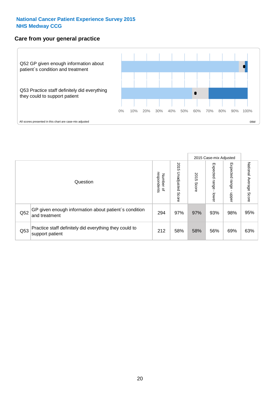#### **Care from your general practice**



|     |                                                                           |                             |                             |               | 2015 Case-mix Adjusted  |                            |                           |
|-----|---------------------------------------------------------------------------|-----------------------------|-----------------------------|---------------|-------------------------|----------------------------|---------------------------|
|     | Question                                                                  | respondents<br>Number<br>டி | 2015<br>Unadjusted<br>Score | 2015<br>Score | Expected range<br>lower | Expected<br>range<br>nbper | National Average<br>Score |
| Q52 | GP given enough information about patient's condition<br>and treatment    | 294                         | 97%                         | 97%           | 93%                     | 98%                        | 95%                       |
| Q53 | Practice staff definitely did everything they could to<br>support patient | 212                         | 58%                         | 58%           | 56%                     | 69%                        | 63%                       |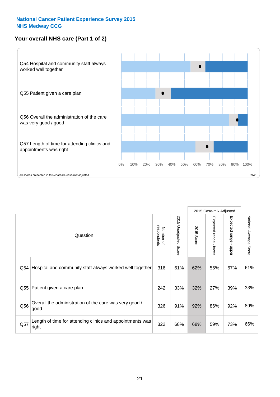#### **Your overall NHS care (Part 1 of 2)**



|     |                                                                    |                          |                          |                      | 2015 Case-mix Adjusted                    |                                           |                        |
|-----|--------------------------------------------------------------------|--------------------------|--------------------------|----------------------|-------------------------------------------|-------------------------------------------|------------------------|
|     | Question                                                           | respondents<br>Number of | 2015<br>Unadjusted Score | 2015<br><b>Score</b> | Expected range<br>$\blacksquare$<br>lower | Expected range<br>$\blacksquare$<br>nbber | National Average Score |
| Q54 | Hospital and community staff always worked well together           | 316                      | 61%                      | 62%                  | 55%                                       | 67%                                       | 61%                    |
| Q55 | Patient given a care plan                                          | 242                      | 33%                      | 32%                  | 27%                                       | 39%                                       | 33%                    |
| Q56 | Overall the administration of the care was very good /<br>good     | 326                      | 91%                      | 92%                  | 86%                                       | 92%                                       | 89%                    |
| Q57 | Length of time for attending clinics and appointments was<br>right | 322                      | 68%                      | 68%                  | 59%                                       | 73%                                       | 66%                    |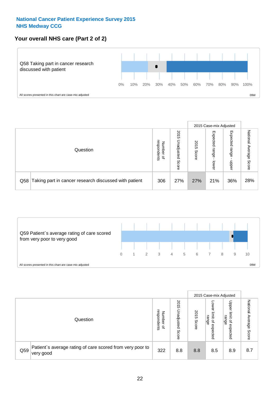#### **Your overall NHS care (Part 2 of 2)**



|     |                                                       |                                   |                             |               | 2015 Case-mix Adjusted     |                            |                        |
|-----|-------------------------------------------------------|-----------------------------------|-----------------------------|---------------|----------------------------|----------------------------|------------------------|
|     | Question                                              | respondents<br>Number<br>$\Omega$ | 2015<br>Unadjusted<br>Score | 2015<br>Score | Expected<br>range<br>lower | Expected<br>range<br>nbber | National Average Score |
| Q58 | Taking part in cancer research discussed with patient | 306                               | 27%                         | 27%           | 21%                        | 36%                        | 28%                    |



|     |                                                                        |                                   |                             | 2015 Case-mix Adjusted |                                         |                                                       |                              |
|-----|------------------------------------------------------------------------|-----------------------------------|-----------------------------|------------------------|-----------------------------------------|-------------------------------------------------------|------------------------------|
|     | Question                                                               | respondents<br>Number<br>$\Omega$ | 2015<br>Unadjusted<br>Score | 2015<br>Score          | OWer<br>limit<br>range<br>٩<br>expected | Upper<br>limit<br>range<br>$\overline{a}$<br>expected | National<br>Average<br>Score |
| Q59 | Patient's average rating of care scored from very poor to<br>very good | 322                               | 8.8                         | 8.8                    | 8.5                                     | 8.9                                                   | 8.7                          |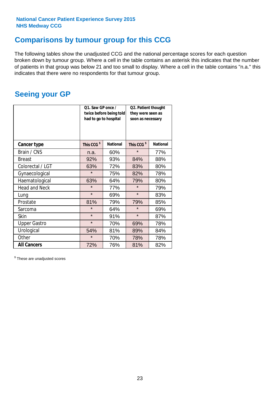### **Comparisons by tumour group for this CCG**

The following tables show the unadjusted CCG and the national percentage scores for each question broken down by tumour group. Where a cell in the table contains an asterisk this indicates that the number of patients in that group was below 21 and too small to display. Where a cell in the table contains "n.a." this indicates that there were no respondents for that tumour group.

### **Seeing your GP**

|                      | Q1. Saw GP once /<br>had to go to hospital | twice before being told | Q2. Patient thought<br>they were seen as<br>soon as necessary |                 |  |
|----------------------|--------------------------------------------|-------------------------|---------------------------------------------------------------|-----------------|--|
| <b>Cancer type</b>   | This CCG <sup>\$</sup>                     | <b>National</b>         | This CCG <sup>\$</sup>                                        | <b>National</b> |  |
| Brain / CNS          | n.a.                                       | 60%                     | $\star$                                                       | 77%             |  |
| <b>Breast</b>        | 92%                                        | 93%                     | 84%                                                           | 88%             |  |
| Colorectal / LGT     | 63%                                        | 72%                     | 83%                                                           | 80%             |  |
| Gynaecological       | $\star$                                    | 75%                     | 82%                                                           | 78%             |  |
| Haematological       | 63%                                        | 64%                     | 79%                                                           | 80%             |  |
| <b>Head and Neck</b> | $\star$                                    | 77%                     | $\star$                                                       | 79%             |  |
| Lung                 | $\star$                                    | 69%                     | $\star$                                                       | 83%             |  |
| Prostate             | 81%                                        | 79%                     | 79%                                                           | 85%             |  |
| Sarcoma              | $\star$                                    | 64%                     | $\star$                                                       | 69%             |  |
| Skin                 | $\star$                                    | 91%                     | $\star$                                                       | 87%             |  |
| <b>Upper Gastro</b>  | $\star$                                    | 70%                     | 69%                                                           | 78%             |  |
| Urological           | 54%                                        | 81%                     | 89%                                                           | 84%             |  |
| Other                | $\star$                                    | 70%                     | 78%                                                           | 78%             |  |
| <b>All Cancers</b>   | 72%                                        | 76%                     | 81%                                                           | 82%             |  |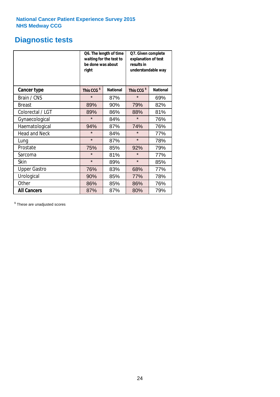### **Diagnostic tests**

|                      | be done was about<br>right | Q6. The length of time<br>waiting for the test to | Q7. Given complete<br>explanation of test<br>results in<br>understandable way |                 |  |
|----------------------|----------------------------|---------------------------------------------------|-------------------------------------------------------------------------------|-----------------|--|
| <b>Cancer type</b>   | This CCG <sup>\$</sup>     | <b>National</b>                                   | This CCG <sup>\$</sup>                                                        | <b>National</b> |  |
| Brain / CNS          | $\star$                    | 87%                                               | $\star$                                                                       | 69%             |  |
| <b>Breast</b>        | 89%                        | 90%                                               | 79%                                                                           | 82%             |  |
| Colorectal / LGT     | 89%                        | 86%                                               | 88%                                                                           | 81%             |  |
| Gynaecological       | $\star$                    | 84%                                               | $\star$                                                                       | 76%             |  |
| Haematological       | 94%                        | 87%                                               | 74%                                                                           | 76%             |  |
| <b>Head and Neck</b> | $\star$                    | 84%                                               | $\star$                                                                       | 77%             |  |
| Lung                 | $\star$                    | 87%                                               | $\star$                                                                       | 78%             |  |
| Prostate             | 75%                        | 85%                                               | 92%                                                                           | 79%             |  |
| Sarcoma              | $\star$                    | 81%                                               | $\star$                                                                       | 77%             |  |
| <b>Skin</b>          | $\star$                    | 89%                                               | $\star$                                                                       | 85%             |  |
| <b>Upper Gastro</b>  | 76%                        | 83%                                               | 68%                                                                           | 77%             |  |
| Urological           | 90%                        | 85%                                               | 77%                                                                           | 78%             |  |
| Other                | 86%                        | 85%                                               | 86%                                                                           | 76%             |  |
| <b>All Cancers</b>   | 87%                        | 87%                                               | 80%                                                                           | 79%             |  |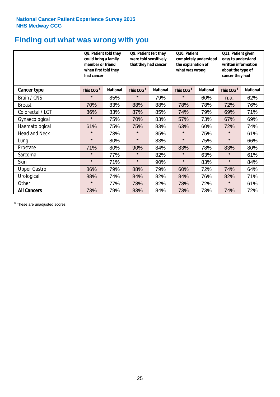### **Finding out what was wrong with you**

|                      | Q8. Patient told they<br>could bring a family<br>member or friend<br>when first told they<br>had cancer |                 | Q9. Patient felt they<br>were told sensitively<br>that they had cancer |                 | Q10. Patient<br>completely understood<br>the explanation of<br>what was wrong |                 | Q11. Patient given<br>easy to understand<br>written information<br>about the type of<br>cancer they had |                 |
|----------------------|---------------------------------------------------------------------------------------------------------|-----------------|------------------------------------------------------------------------|-----------------|-------------------------------------------------------------------------------|-----------------|---------------------------------------------------------------------------------------------------------|-----------------|
| Cancer type          | This CCG <sup>\$</sup>                                                                                  | <b>National</b> | This CCG <sup>\$</sup>                                                 | <b>National</b> | This CCG <sup>\$</sup>                                                        | <b>National</b> | This CCG <sup>\$</sup>                                                                                  | <b>National</b> |
| Brain / CNS          | $\star$                                                                                                 | 85%             | $\star$                                                                | 79%             | $\star$                                                                       | 60%             | n.a.                                                                                                    | 62%             |
| <b>Breast</b>        | 70%                                                                                                     | 83%             | 88%                                                                    | 88%             | 78%                                                                           | 78%             | 72%                                                                                                     | 76%             |
| Colorectal / LGT     | 86%                                                                                                     | 83%             | 87%                                                                    | 85%             | 74%                                                                           | 79%             | 69%                                                                                                     | 71%             |
| Gynaecological       | $\star$                                                                                                 | 75%             | 70%                                                                    | 83%             | 57%                                                                           | 73%             | 67%                                                                                                     | 69%             |
| Haematological       | 61%                                                                                                     | 75%             | 75%                                                                    | 83%             | 63%                                                                           | 60%             | 72%                                                                                                     | 74%             |
| <b>Head and Neck</b> | $\star$                                                                                                 | 73%             | $\star$                                                                | 85%             | $\star$                                                                       | 75%             | $\star$                                                                                                 | 61%             |
| Lung                 | $\star$                                                                                                 | 80%             | $\star$                                                                | 83%             | $\star$                                                                       | 75%             | $\star$                                                                                                 | 66%             |
| Prostate             | 71%                                                                                                     | 80%             | 90%                                                                    | 84%             | 83%                                                                           | 78%             | 83%                                                                                                     | 80%             |
| Sarcoma              | $\star$                                                                                                 | 77%             | $\star$                                                                | 82%             | $\star$                                                                       | 63%             | $\star$                                                                                                 | 61%             |
| Skin                 | $\star$                                                                                                 | 71%             | $\star$                                                                | 90%             | $\star$                                                                       | 83%             | $\star$                                                                                                 | 84%             |
| <b>Upper Gastro</b>  | 86%                                                                                                     | 79%             | 88%                                                                    | 79%             | 60%                                                                           | 72%             | 74%                                                                                                     | 64%             |
| Urological           | 88%                                                                                                     | 74%             | 84%                                                                    | 82%             | 84%                                                                           | 76%             | 82%                                                                                                     | 71%             |
| Other                | $\star$                                                                                                 | 77%             | 78%                                                                    | 82%             | 78%                                                                           | 72%             | $\star$                                                                                                 | 61%             |
| <b>All Cancers</b>   | 73%                                                                                                     | 79%             | 83%                                                                    | 84%             | 73%                                                                           | 73%             | 74%                                                                                                     | 72%             |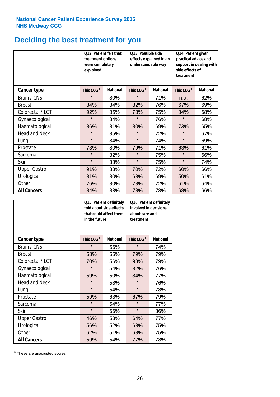## **Deciding the best treatment for you**

|                      | treatment options<br>were completely<br>explained | Q12. Patient felt that | Q13. Possible side<br>understandable way | effects explained in an | Q14. Patient given<br>practical advice and<br>support in dealing with<br>side effects of<br>treatment |                 |  |
|----------------------|---------------------------------------------------|------------------------|------------------------------------------|-------------------------|-------------------------------------------------------------------------------------------------------|-----------------|--|
| <b>Cancer type</b>   | This CCG <sup>\$</sup>                            | <b>National</b>        | This CCG <sup>\$</sup>                   | <b>National</b>         | This CCG <sup>\$</sup>                                                                                | <b>National</b> |  |
| Brain / CNS          | $\star$                                           | 80%                    | $\star$                                  | 71%                     | n.a.                                                                                                  | 62%             |  |
| <b>Breast</b>        | 84%                                               | 84%                    | 82%                                      | 76%                     | 67%                                                                                                   | 69%             |  |
| Colorectal / LGT     | 92%                                               | 85%                    | 78%                                      | 75%                     | 84%                                                                                                   | 68%             |  |
| Gynaecological       | $\star$                                           | 84%                    | $\star$                                  | 76%                     | $\star$                                                                                               | 68%             |  |
| Haematological       | 86%                                               | 81%                    | 80%                                      | 69%                     | 73%                                                                                                   | 65%             |  |
| <b>Head and Neck</b> | $\star$                                           | 85%                    | $\star$                                  | 72%                     | $\star$                                                                                               | 67%             |  |
| Lung                 | $\star$                                           | 84%                    | $\star$                                  | 74%                     | $\star$                                                                                               | 69%             |  |
| Prostate             | 73%                                               | 80%                    | 79%                                      | 71%                     | 63%                                                                                                   | 61%             |  |
| Sarcoma              | $\star$                                           | 82%                    | $\star$                                  | 75%                     | $\star$                                                                                               | 66%             |  |
| Skin                 | $\star$                                           | 88%                    | $\star$                                  | 75%                     | $\star$                                                                                               | 74%             |  |
| <b>Upper Gastro</b>  | 91%                                               | 83%                    | 70%                                      | 72%                     | 60%                                                                                                   | 66%             |  |
| Urological           | 81%                                               | 80%                    | 68%                                      | 69%                     | 50%                                                                                                   | 61%             |  |
| Other                | 76%                                               | 80%                    | 78%                                      | 72%                     | 61%                                                                                                   | 64%             |  |
| <b>All Cancers</b>   | 84%                                               | 83%                    | 78%                                      | 73%                     | 68%                                                                                                   | 66%             |  |

|                      | in the future          | Q15. Patient definitely<br>told about side effects<br>that could affect them | Q16. Patient definitely<br>involved in decisions<br>about care and<br>treatment |                 |  |
|----------------------|------------------------|------------------------------------------------------------------------------|---------------------------------------------------------------------------------|-----------------|--|
| <b>Cancer type</b>   | This CCG <sup>\$</sup> | <b>National</b>                                                              | This CCG <sup>\$</sup>                                                          | <b>National</b> |  |
| Brain / CNS          | $\star$                | 56%                                                                          | $\star$                                                                         | 74%             |  |
| <b>Breast</b>        | 58%                    | 55%                                                                          | 79%                                                                             | 79%             |  |
| Colorectal / LGT     | 70%                    | 56%                                                                          | 93%                                                                             | 79%             |  |
| Gynaecological       | $\star$                | 54%                                                                          |                                                                                 | 76%             |  |
| Haematological       | 59%                    | 50%                                                                          |                                                                                 | 77%             |  |
| <b>Head and Neck</b> | $\star$                | 58%                                                                          | $\star$                                                                         | 76%             |  |
| Lung                 | $\star$                | 54%                                                                          | $\star$                                                                         | 78%             |  |
| Prostate             | 59%                    | 63%                                                                          | 67%                                                                             | 79%             |  |
| Sarcoma              | $\star$                | 54%                                                                          | $\star$                                                                         | 77%             |  |
| Skin                 | $\star$                | 66%                                                                          | $\star$                                                                         | 86%             |  |
| <b>Upper Gastro</b>  | 46%                    | 53%                                                                          | 64%                                                                             | 77%             |  |
| Urological           | 56%                    | 52%                                                                          | 68%                                                                             | 75%             |  |
| Other                | 62%                    | 51%                                                                          | 68%                                                                             | 75%             |  |
| <b>All Cancers</b>   | 59%                    | 54%                                                                          | 77%                                                                             | 78%             |  |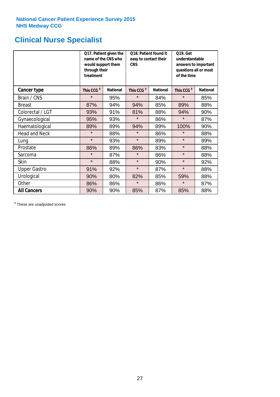## **Clinical Nurse Specialist**

|                      | would support them<br>through their<br>treatment | Q17. Patient given the<br>name of the CNS who | Q18. Patient found it<br>easy to contact their<br><b>CNS</b> |                 | <b>Q19. Get</b><br>understandable<br>answers to important<br>questions all or most<br>of the time |                 |  |
|----------------------|--------------------------------------------------|-----------------------------------------------|--------------------------------------------------------------|-----------------|---------------------------------------------------------------------------------------------------|-----------------|--|
| <b>Cancer type</b>   | This CCG <sup>\$</sup>                           | <b>National</b>                               | This CCG <sup>\$</sup>                                       | <b>National</b> | This CCG <sup>\$</sup>                                                                            | <b>National</b> |  |
| Brain / CNS          | $\star$                                          | 95%                                           | $\star$                                                      | 84%             | $\star$                                                                                           | 85%             |  |
| <b>Breast</b>        | 87%                                              | 94%                                           | 94%                                                          | 85%             | 89%                                                                                               | 88%             |  |
| Colorectal / LGT     | 93%                                              | 91%                                           | 81%                                                          | 88%             | 94%                                                                                               | 90%             |  |
| Gynaecological       | 95%                                              | 93%                                           | $\star$                                                      | 86%             | $\star$                                                                                           | 87%             |  |
| Haematological       | 89%                                              | 89%                                           | 94%                                                          | 89%             | 100%                                                                                              | 90%             |  |
| <b>Head and Neck</b> | $\star$                                          | 88%                                           | $\star$                                                      | 86%             | $\star$                                                                                           | 88%             |  |
| Lung                 | $\star$                                          | 93%                                           | $\star$                                                      | 89%             | $\star$                                                                                           | 89%             |  |
| Prostate             | 86%                                              | 89%                                           | 86%                                                          | 83%             | $\star$                                                                                           | 88%             |  |
| Sarcoma              | $\star$                                          | 87%                                           | $\star$                                                      | 86%             | $\star$                                                                                           | 88%             |  |
| Skin                 | $\star$                                          | 88%                                           | $\star$                                                      | 90%             | $\star$                                                                                           | 92%             |  |
| <b>Upper Gastro</b>  | 91%                                              | 92%                                           | $\star$                                                      | 87%             | $\star$                                                                                           | 88%             |  |
| Urological           | 90%                                              | 80%                                           | 82%                                                          | 85%             | 59%                                                                                               | 88%             |  |
| Other                | 86%                                              | 86%                                           | $\star$                                                      | 86%             | $\star$                                                                                           | 87%             |  |
| <b>All Cancers</b>   | 90%                                              | 90%                                           | 85%                                                          | 87%             | 85%                                                                                               | 88%             |  |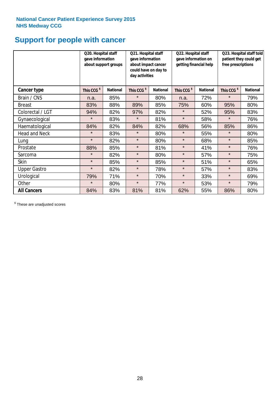## **Support for people with cancer**

|                      | Q20. Hospital staff<br>gave information | about support groups | Q21. Hospital staff<br>gave information<br>about impact cancer<br>could have on day to<br>day activities |                 | Q22. Hospital staff<br>gave information on<br>getting financial help |                 | Q23. Hospital staff told<br>patient they could get<br>free prescriptions |                 |
|----------------------|-----------------------------------------|----------------------|----------------------------------------------------------------------------------------------------------|-----------------|----------------------------------------------------------------------|-----------------|--------------------------------------------------------------------------|-----------------|
| Cancer type          | This CCG <sup>\$</sup>                  | <b>National</b>      | This CCG <sup>\$</sup>                                                                                   | <b>National</b> | This CCG <sup>\$</sup>                                               | <b>National</b> | This CCG <sup>\$</sup>                                                   | <b>National</b> |
| Brain / CNS          | n.a.                                    | 85%                  | $\star$                                                                                                  | 80%             | n.a.                                                                 | 72%             | $\star$                                                                  | 79%             |
| <b>Breast</b>        | 83%                                     | 88%                  | 89%                                                                                                      | 85%             | 75%                                                                  | 60%             | 95%                                                                      | 80%             |
| Colorectal / LGT     | 94%                                     | 82%                  | 97%                                                                                                      | 82%             | $\star$                                                              | 52%             | 95%                                                                      | 83%             |
| Gynaecological       | $\star$                                 | 83%                  | $\star$                                                                                                  | 81%             | $\star$                                                              | 58%             | $\star$                                                                  | 76%             |
| Haematological       | 84%                                     | 82%                  | 84%                                                                                                      | 82%             | 68%                                                                  | 56%             | 85%                                                                      | 86%             |
| <b>Head and Neck</b> | $\star$                                 | 83%                  | $\star$                                                                                                  | 80%             | $\star$                                                              | 55%             | $\star$                                                                  | 80%             |
| Lung                 | $\star$                                 | 82%                  | $\star$                                                                                                  | 80%             | $\star$                                                              | 68%             | $\star$                                                                  | 85%             |
| Prostate             | 88%                                     | 85%                  | $\star$                                                                                                  | 81%             | $\star$                                                              | 41%             | $\star$                                                                  | 76%             |
| Sarcoma              | $\star$                                 | 82%                  | $\star$                                                                                                  | 80%             | $\star$                                                              | 57%             | $\star$                                                                  | 75%             |
| Skin                 | $\star$                                 | 85%                  | $\star$                                                                                                  | 85%             | $\star$                                                              | 51%             | $\star$                                                                  | 65%             |
| <b>Upper Gastro</b>  | $\star$                                 | 82%                  | $\star$                                                                                                  | 78%             | $\star$                                                              | 57%             | $\star$                                                                  | 83%             |
| Urological           | 79%                                     | 71%                  | $\star$                                                                                                  | 70%             | $\star$                                                              | 33%             | $\star$                                                                  | 69%             |
| Other                | $\star$                                 | 80%                  | $\star$                                                                                                  | 77%             | $\star$                                                              | 53%             | $\star$                                                                  | 79%             |
| <b>All Cancers</b>   | 84%                                     | 83%                  | 81%                                                                                                      | 81%             | 62%                                                                  | 55%             | 86%                                                                      | 80%             |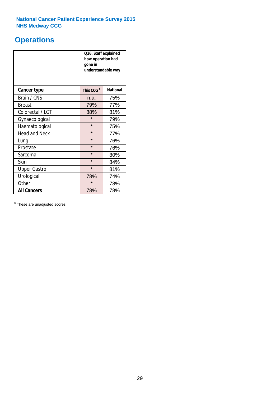## **Operations**

|                      | Q26. Staff explained<br>how operation had<br>gone in<br>understandable way |                 |  |  |
|----------------------|----------------------------------------------------------------------------|-----------------|--|--|
| <b>Cancer type</b>   | This CCG <sup>\$</sup>                                                     | <b>National</b> |  |  |
| Brain / CNS          | n.a.                                                                       | 75%             |  |  |
| <b>Breast</b>        | 79%                                                                        | 77%             |  |  |
| Colorectal / LGT     | 88%                                                                        | 81%             |  |  |
| Gynaecological       | $\star$                                                                    | 79%             |  |  |
| Haematological       | $\star$                                                                    | 75%             |  |  |
| <b>Head and Neck</b> | $\star$                                                                    | 77%             |  |  |
| Lung                 | $\star$                                                                    | 76%             |  |  |
| Prostate             | $\star$                                                                    | 76%             |  |  |
| Sarcoma              | $\star$                                                                    | 80%             |  |  |
| Skin                 | $\star$                                                                    | 84%             |  |  |
| <b>Upper Gastro</b>  | $\star$                                                                    | 81%             |  |  |
| Urological           | 78%<br>74%                                                                 |                 |  |  |
| Other                | $\star$<br>78%                                                             |                 |  |  |
| <b>All Cancers</b>   | 78%<br>78%                                                                 |                 |  |  |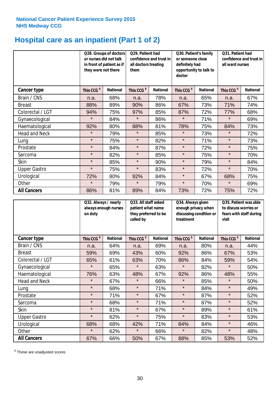## **Hospital care as an inpatient (Part 1 of 2)**

|                      |                        | Q28. Groups of doctors<br>Q29. Patient had<br>or nurses did not talk<br>confidence and trust in<br>in front of patient as if<br>all doctors treating<br>they were not there<br>them |                        | Q30. Patient's family<br>or someone close<br>definitely had<br>opportunity to talk to<br>doctor |                        |                 | Q31. Patient had<br>confidence and trust in I<br>all ward nurses |                 |
|----------------------|------------------------|-------------------------------------------------------------------------------------------------------------------------------------------------------------------------------------|------------------------|-------------------------------------------------------------------------------------------------|------------------------|-----------------|------------------------------------------------------------------|-----------------|
| Cancer type          | This CCG <sup>\$</sup> | <b>National</b>                                                                                                                                                                     | This CCG <sup>\$</sup> | <b>National</b>                                                                                 | This CCG <sup>\$</sup> | <b>National</b> | This CCG <sup>\$</sup>                                           | <b>National</b> |
| Brain / CNS          | n.a.                   | 68%                                                                                                                                                                                 | n.a.                   | 78%                                                                                             | n.a.                   | 65%             | n.a.                                                             | 67%             |
| <b>Breast</b>        | 88%                    | 89%                                                                                                                                                                                 | 90%                    | 86%                                                                                             | 67%                    | 73%             | 71%                                                              | 74%             |
| Colorectal / LGT     | 94%                    | 75%                                                                                                                                                                                 | 97%                    | 85%                                                                                             | 87%                    | 72%             | 77%                                                              | 68%             |
| Gynaecological       | $\star$                | 84%                                                                                                                                                                                 | $\star$                | 86%                                                                                             | $\star$                | 71%             | $\star$                                                          | 69%             |
| Haematological       | 92%                    | 80%                                                                                                                                                                                 | 88%                    | 81%                                                                                             | 78%                    | 75%             | 84%                                                              | 73%             |
| <b>Head and Neck</b> | $\star$                | 79%                                                                                                                                                                                 | $\star$                | 85%                                                                                             | $\star$                | 73%             | $\star$                                                          | 72%             |
| Lung                 | $\star$                | 75%                                                                                                                                                                                 | $\star$                | 82%                                                                                             | $\star$                | 71%             | $\star$                                                          | 73%             |
| Prostate             | $\star$                | 84%                                                                                                                                                                                 | $\star$                | 87%                                                                                             | $\star$                | 72%             | $\star$                                                          | 75%             |
| Sarcoma              | $\star$                | 82%                                                                                                                                                                                 | $\star$                | 85%                                                                                             | $\star$                | 75%             | $\star$                                                          | 70%             |
| Skin                 | $\star$                | 85%                                                                                                                                                                                 | $\star$                | 90%                                                                                             | $\star$                | 79%             | $\star$                                                          | 84%             |
| <b>Upper Gastro</b>  | $\star$                | 75%                                                                                                                                                                                 | $\star$                | 83%                                                                                             | $\star$                | 72%             | $\star$                                                          | 70%             |
| Urological           | 72%                    | 80%                                                                                                                                                                                 | 92%                    | 84%                                                                                             | $\star$                | 67%             | 68%                                                              | 75%             |
| Other                | $\star$                | 79%                                                                                                                                                                                 | $\star$                | 79%                                                                                             | $\star$                | 70%             | $\star$                                                          | 69%             |
| <b>All Cancers</b>   | 86%                    | 81%                                                                                                                                                                                 | 89%                    | 84%                                                                                             | 73%                    | 72%             | 75%                                                              | 72%             |

|                      | on duty                | Q32. Always / nearly<br>Q33. All staff asked<br>always enough nurses<br>patient what name<br>they preferred to be<br>called by |                        |                 | Q34. Always given<br>enough privacy when<br>discussing condition or<br>treatment |                 | Q35. Patient was able<br>to discuss worries or<br>fears with staff during<br>visit |                 |
|----------------------|------------------------|--------------------------------------------------------------------------------------------------------------------------------|------------------------|-----------------|----------------------------------------------------------------------------------|-----------------|------------------------------------------------------------------------------------|-----------------|
| <b>Cancer type</b>   | This CCG <sup>\$</sup> | <b>National</b>                                                                                                                | This CCG <sup>\$</sup> | <b>National</b> | This CCG <sup>\$</sup>                                                           | <b>National</b> | This CCG <sup>\$</sup>                                                             | <b>National</b> |
| Brain / CNS          | n.a.                   | 64%                                                                                                                            | n.a.                   | 69%             | n.a.                                                                             | 80%             | n.a.                                                                               | 44%             |
| <b>Breast</b>        | 59%                    | 69%                                                                                                                            | 43%                    | 60%             | 92%                                                                              | 86%             | 67%                                                                                | 53%             |
| Colorectal / LGT     | 65%                    | 61%                                                                                                                            | 63%                    | 70%             | 86%                                                                              | 84%             | 59%                                                                                | 54%             |
| Gynaecological       | $\star$                | 65%                                                                                                                            | $\star$                | 63%             | $\star$                                                                          | 82%             | $\star$                                                                            | 50%             |
| Haematological       | 76%                    | 63%                                                                                                                            | 48%                    | 67%             | 92%                                                                              | 86%             | 48%                                                                                | 55%             |
| <b>Head and Neck</b> | $\star$                | 67%                                                                                                                            | $\star$                | 66%             | $\star$                                                                          | 85%             | $\star$                                                                            | 50%             |
| Lung                 | $\star$                | 68%                                                                                                                            | $\star$                | 71%             | $\star$                                                                          | 84%             | $\star$                                                                            | 49%             |
| Prostate             | $\star$                | 71%                                                                                                                            | $\star$                | 67%             | $\star$                                                                          | 87%             | $\star$                                                                            | 52%             |
| Sarcoma              | $\star$                | 68%                                                                                                                            | $\star$                | 71%             | $\star$                                                                          | 87%             | $\star$                                                                            | 52%             |
| Skin                 | $\star$                | 81%                                                                                                                            | $\star$                | 67%             | $\star$                                                                          | 89%             | $\star$                                                                            | 61%             |
| <b>Upper Gastro</b>  | $\star$                | 62%                                                                                                                            | $\star$                | 75%             | $\star$                                                                          | 83%             | $\star$                                                                            | 53%             |
| Urological           | 68%                    | 68%                                                                                                                            | 42%                    | 71%             | 84%                                                                              | 84%             | $\star$                                                                            | 46%             |
| Other                | $\star$                | 62%                                                                                                                            | $\star$                | 66%             | $\star$                                                                          | 82%             | $\star$                                                                            | 48%             |
| <b>All Cancers</b>   | 67%                    | 66%                                                                                                                            | 50%                    | 67%             | 88%                                                                              | 85%             | 53%                                                                                | 52%             |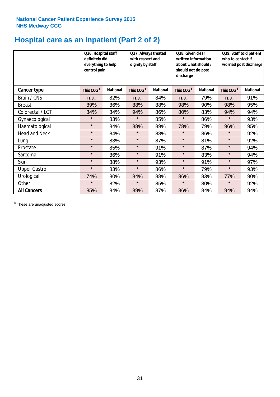## **Hospital care as an inpatient (Part 2 of 2)**

|                      | Q36. Hospital staff<br>definitely did<br>everything to help<br>control pain |                 | Q37. Always treated<br>with respect and<br>dignity by staff |                 | Q38. Given clear<br>written information<br>about what should /<br>should not do post<br>discharge |                 | Q39. Staff told patient<br>who to contact if<br>worried post discharge |                 |
|----------------------|-----------------------------------------------------------------------------|-----------------|-------------------------------------------------------------|-----------------|---------------------------------------------------------------------------------------------------|-----------------|------------------------------------------------------------------------|-----------------|
| Cancer type          | This CCG <sup>\$</sup>                                                      | <b>National</b> | This CCG <sup>\$</sup>                                      | <b>National</b> | This CCG <sup>\$</sup>                                                                            | <b>National</b> | This CCG <sup>\$</sup>                                                 | <b>National</b> |
| Brain / CNS          | n.a.                                                                        | 82%             | n.a.                                                        | 84%             | n.a.                                                                                              | 79%             | n.a.                                                                   | 91%             |
| <b>Breast</b>        | 89%                                                                         | 86%             | 88%                                                         | 88%             | 98%                                                                                               | 90%             | 98%                                                                    | 95%             |
| Colorectal / LGT     | 84%                                                                         | 84%             | 94%                                                         | 86%             | 80%                                                                                               | 83%             | 94%                                                                    | 94%             |
| Gynaecological       | $\star$                                                                     | 83%             | $\star$                                                     | 85%             | $\star$                                                                                           | 86%             | $\star$                                                                | 93%             |
| Haematological       | $\star$                                                                     | 84%             | 88%                                                         | 89%             | 78%                                                                                               | 79%             | 96%                                                                    | 95%             |
| <b>Head and Neck</b> | $\star$                                                                     | 84%             | $\star$                                                     | 88%             | $\star$                                                                                           | 86%             | $\star$                                                                | 92%             |
| Lung                 | $\star$                                                                     | 83%             | $\star$                                                     | 87%             | $\star$                                                                                           | 81%             | $\star$                                                                | 92%             |
| Prostate             | $\star$                                                                     | 85%             | $\star$                                                     | 91%             | $\star$                                                                                           | 87%             | $\star$                                                                | 94%             |
| Sarcoma              | $\star$                                                                     | 86%             | $\star$                                                     | 91%             | $\star$                                                                                           | 83%             | $\star$                                                                | 94%             |
| Skin                 | $\star$                                                                     | 88%             | $\star$                                                     | 93%             | $\star$                                                                                           | 91%             | $\star$                                                                | 97%             |
| <b>Upper Gastro</b>  | $\star$                                                                     | 83%             | $\star$                                                     | 86%             | $\star$                                                                                           | 79%             | $\star$                                                                | 93%             |
| Urological           | 74%                                                                         | 80%             | 84%                                                         | 88%             | 86%                                                                                               | 83%             | 77%                                                                    | 90%             |
| Other                | $\star$                                                                     | 82%             | $\star$                                                     | 85%             | $\star$                                                                                           | 80%             | $\star$                                                                | 92%             |
| <b>All Cancers</b>   | 85%                                                                         | 84%             | 89%                                                         | 87%             | 86%                                                                                               | 84%             | 94%                                                                    | 94%             |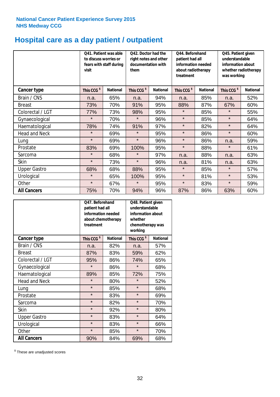## **Hospital care as a day patient / outpatient**

|                      | to discuss worries or<br>visit | Q41. Patient was able<br>fears with staff during | Q42. Doctor had the<br>right notes and other<br>documentation with<br>them |                 | Q44. Beforehand<br>Q45. Patient given<br>patient had all<br>understandable<br>information needed<br>information about<br>about radiotherapy<br>treatment<br>was working |                 |                        |                 | whether radiotherapy |
|----------------------|--------------------------------|--------------------------------------------------|----------------------------------------------------------------------------|-----------------|-------------------------------------------------------------------------------------------------------------------------------------------------------------------------|-----------------|------------------------|-----------------|----------------------|
| Cancer type          | This CCG <sup>\$</sup>         | <b>National</b>                                  | This CCG <sup>\$</sup>                                                     | <b>National</b> | This CCG <sup>\$</sup>                                                                                                                                                  | <b>National</b> | This CCG <sup>\$</sup> | <b>National</b> |                      |
| Brain / CNS          | n.a.                           | 65%                                              | n.a.                                                                       | 94%             | n.a.                                                                                                                                                                    | 85%             | n.a.                   | 52%             |                      |
| <b>Breast</b>        | 73%                            | 70%                                              | 91%                                                                        | 95%             | 88%                                                                                                                                                                     | 87%             | 67%                    | 60%             |                      |
| Colorectal / LGT     | 77%                            | 73%                                              | 98%                                                                        | 95%             | $\star$                                                                                                                                                                 | 85%             | $\star$                | 55%             |                      |
| Gynaecological       | $\star$                        | 70%                                              | $\star$                                                                    | 96%             | $\star$                                                                                                                                                                 | 85%             | $\star$                | 64%             |                      |
| Haematological       | 78%                            | 74%                                              | 91%                                                                        | 97%             | $\star$                                                                                                                                                                 | 82%             | $\star$                | 64%             |                      |
| <b>Head and Neck</b> | $\star$                        | 69%                                              | $\star$                                                                    | 95%             | $\star$                                                                                                                                                                 | 86%             | $\star$                | 60%             |                      |
| Lung                 | $\star$                        | 69%                                              | $\star$                                                                    | 96%             | $\star$                                                                                                                                                                 | 86%             | n.a.                   | 59%             |                      |
| Prostate             | 83%                            | 69%                                              | 100%                                                                       | 95%             | $\star$                                                                                                                                                                 | 88%             | $\star$                | 61%             |                      |
| Sarcoma              | $\star$                        | 68%                                              | $\star$                                                                    | 97%             | n.a.                                                                                                                                                                    | 88%             | n.a.                   | 63%             |                      |
| Skin                 | $\star$                        | 73%                                              | $\star$                                                                    | 96%             | n.a.                                                                                                                                                                    | 81%             | n.a.                   | 63%             |                      |
| <b>Upper Gastro</b>  | 68%                            | 68%                                              | 88%                                                                        | 95%             | $\star$                                                                                                                                                                 | 85%             | $\star$                | 57%             |                      |
| Urological           | $\star$                        | 65%                                              | 100%                                                                       | 95%             | $\star$                                                                                                                                                                 | 81%             | $\star$                | 53%             |                      |
| Other                | $\star$                        | 67%                                              | $\star$                                                                    | 95%             | $\star$                                                                                                                                                                 | 83%             | $\star$                | 59%             |                      |
| <b>All Cancers</b>   | 75%                            | 70%                                              | 94%                                                                        | 96%             | 87%                                                                                                                                                                     | 86%             | 63%                    | 60%             |                      |

|                      | Q47. Beforehand<br>patient had all<br>information needed<br>about chemotherapy<br>treatment |                 | Q48. Patient given<br>understandable<br>information about<br>whether<br>chemotherapy was<br>working |                 |
|----------------------|---------------------------------------------------------------------------------------------|-----------------|-----------------------------------------------------------------------------------------------------|-----------------|
| <b>Cancer type</b>   | This CCG <sup>\$</sup>                                                                      | <b>National</b> | This CCG <sup>\$</sup>                                                                              | <b>National</b> |
| Brain / CNS          | n.a.                                                                                        | 82%             | n.a.                                                                                                | 57%             |
| <b>Breast</b>        | 87%                                                                                         | 83%             | 59%                                                                                                 | 62%             |
| Colorectal / LGT     | 95%                                                                                         | 86%             | 74%                                                                                                 | 65%             |
| Gynaecological       | $\star$                                                                                     | 86%             | $\star$                                                                                             | 68%             |
| Haematological       | 89%                                                                                         | 85%             | 72%                                                                                                 | 75%             |
| <b>Head and Neck</b> | $\star$                                                                                     | 80%             | $\star$                                                                                             | 52%             |
| Lung                 | $\star$                                                                                     | 85%             | $\star$                                                                                             | 68%             |
| Prostate             | $\star$                                                                                     | 83%             | $\star$                                                                                             | 69%             |
| Sarcoma              | $\star$                                                                                     | 82%             | $\star$                                                                                             | 70%             |
| <b>Skin</b>          | $\star$                                                                                     | 92%             | $\star$                                                                                             | 80%             |
| <b>Upper Gastro</b>  | $\star$                                                                                     | 83%             | $\star$                                                                                             | 64%             |
| Urological           | $\star$                                                                                     | 83%             | $\star$                                                                                             | 66%             |
| Other                | $\star$                                                                                     | 85%             | $\star$                                                                                             | 70%             |
| <b>All Cancers</b>   | 90%                                                                                         | 84%             | 69%                                                                                                 | 68%             |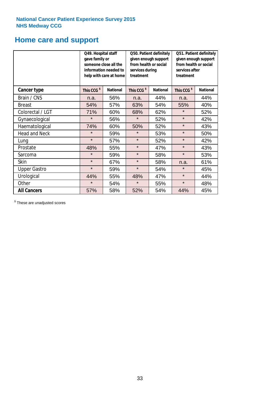### **Home care and support**

|                      | Q49. Hospital staff<br>gave family or<br>someone close all the<br>information needed to<br>help with care at home |                 | from health or social<br>services during<br>treatment | Q50. Patient definitely<br>given enough support | Q51. Patient definitely<br>given enough support<br>from health or social<br>services after<br>treatment |                 |  |
|----------------------|-------------------------------------------------------------------------------------------------------------------|-----------------|-------------------------------------------------------|-------------------------------------------------|---------------------------------------------------------------------------------------------------------|-----------------|--|
| <b>Cancer type</b>   | This CCG <sup>\$</sup>                                                                                            | <b>National</b> | This CCG <sup>\$</sup>                                | <b>National</b>                                 | This CCG <sup>\$</sup>                                                                                  | <b>National</b> |  |
| Brain / CNS          | n.a.                                                                                                              | 56%             | n.a.                                                  | 44%                                             | n.a.                                                                                                    | 44%             |  |
| <b>Breast</b>        | 54%                                                                                                               | 57%             | 63%                                                   | 54%                                             | 55%                                                                                                     | 40%             |  |
| Colorectal / LGT     | 71%                                                                                                               | 60%             | 68%                                                   | 62%                                             | $\star$                                                                                                 | 52%             |  |
| Gynaecological       | $\star$                                                                                                           | 56%             | $\star$                                               | 52%                                             | $\star$                                                                                                 | 42%             |  |
| Haematological       | 74%                                                                                                               | 60%             | 50%                                                   | 52%                                             | $\star$                                                                                                 | 43%             |  |
| <b>Head and Neck</b> | $\star$                                                                                                           | 59%             | $\star$                                               | 53%                                             | $\star$                                                                                                 | 50%             |  |
| Lung                 | $\star$                                                                                                           | 57%             | $\star$                                               | 52%                                             | $\star$                                                                                                 | 42%             |  |
| Prostate             | 48%                                                                                                               | 55%             | $\star$                                               | 47%                                             | $\star$                                                                                                 | 43%             |  |
| Sarcoma              | $\star$                                                                                                           | 59%             | $\star$                                               | 58%                                             | $\star$                                                                                                 | 53%             |  |
| Skin                 | $\star$                                                                                                           | 67%             | $\star$                                               | 58%                                             | n.a.                                                                                                    | 61%             |  |
| <b>Upper Gastro</b>  | $\star$                                                                                                           | 59%             | $\star$<br>54%                                        |                                                 | $\star$                                                                                                 | 45%             |  |
| Urological           | 44%                                                                                                               | 55%             | 48%                                                   | 47%                                             | $\star$                                                                                                 | 44%             |  |
| Other                | $\star$                                                                                                           | 54%             | $\star$                                               | 55%                                             | $\star$                                                                                                 | 48%             |  |
| <b>All Cancers</b>   | 57%                                                                                                               | 58%             | 52%                                                   | 54%                                             | 44%                                                                                                     | 45%             |  |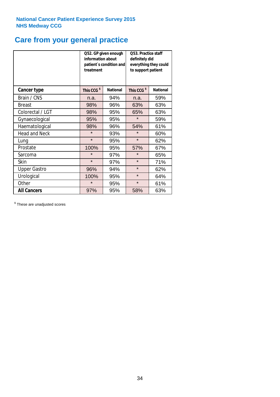# **Care from your general practice**

|                      | information about<br>treatment | Q52. GP given enough<br>patient's condition and | <b>O53. Practice staff</b><br>definitely did<br>everything they could<br>to support patient |                 |  |
|----------------------|--------------------------------|-------------------------------------------------|---------------------------------------------------------------------------------------------|-----------------|--|
| <b>Cancer type</b>   | This CCG <sup>\$</sup>         | <b>National</b>                                 | This CCG <sup>\$</sup>                                                                      | <b>National</b> |  |
| Brain / CNS          | n.a.                           | 94%                                             | n.a.                                                                                        | 59%             |  |
| <b>Breast</b>        | 98%                            | 96%                                             | 63%                                                                                         | 63%             |  |
| Colorectal / LGT     | 98%                            | 95%                                             | 65%                                                                                         | 63%             |  |
| Gynaecological       | 95%                            | 95%                                             | $\star$                                                                                     | 59%             |  |
| Haematological       | 98%                            | 96%                                             | 54%                                                                                         | 61%             |  |
| <b>Head and Neck</b> | $\star$                        | 93%                                             | $\star$                                                                                     | 60%             |  |
| Lung                 | $\star$                        | 95%                                             | $\star$                                                                                     | 62%             |  |
| Prostate             | 100%                           | 95%                                             | 57%                                                                                         | 67%             |  |
| Sarcoma              | $\star$                        | 97%                                             | $\star$                                                                                     | 65%             |  |
| <b>Skin</b>          | $\star$                        | 97%                                             | $\star$                                                                                     | 71%             |  |
| <b>Upper Gastro</b>  | 96%                            | 94%                                             | $\star$                                                                                     | 62%             |  |
| Urological           | 100%                           | 95%                                             | $\star$                                                                                     | 64%             |  |
| Other                | $\star$                        | 95%                                             | $\star$                                                                                     | 61%             |  |
| <b>All Cancers</b>   | 97%                            | 95%                                             | 58%                                                                                         | 63%             |  |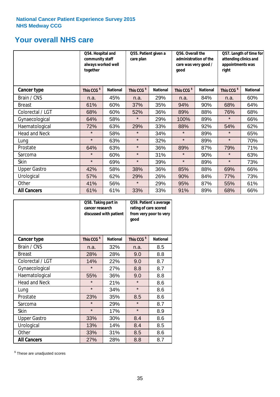### **Your overall NHS care**

|                      | Q54. Hospital and<br>community staff<br>always worked well<br>together |                 | Q55. Patient given a<br>care plan |                 | Q56. Overall the<br>administration of the<br>care was very good /<br>qood |                 | Q57. Length of time for<br>attending clinics and<br>appointments was<br>right |                 |
|----------------------|------------------------------------------------------------------------|-----------------|-----------------------------------|-----------------|---------------------------------------------------------------------------|-----------------|-------------------------------------------------------------------------------|-----------------|
| Cancer type          | This CCG <sup>\$</sup>                                                 | <b>National</b> | This CCG <sup>\$</sup>            | <b>National</b> | This CCG <sup>\$</sup>                                                    | <b>National</b> | This CCG <sup>\$</sup>                                                        | <b>National</b> |
| Brain / CNS          | n.a.                                                                   | 45%             | n.a.                              | 29%             | n.a.                                                                      | 84%             | n.a.                                                                          | 60%             |
| <b>Breast</b>        | 61%                                                                    | 60%             | 37%                               | 35%             | 94%                                                                       | 90%             | 68%                                                                           | 64%             |
| Colorectal / LGT     | 68%                                                                    | 60%             | 52%                               | 36%             | 89%                                                                       | 88%             | 76%                                                                           | 68%             |
| Gynaecological       | 64%                                                                    | 58%             | $\star$                           | 29%             | 100%                                                                      | 89%             | $\star$                                                                       | 66%             |
| Haematological       | 72%                                                                    | 63%             | 29%                               | 33%             | 88%                                                                       | 92%             | 54%                                                                           | 62%             |
| <b>Head and Neck</b> | $\star$                                                                | 58%             | $\star$                           | 34%             | $\star$                                                                   | 89%             | $\star$                                                                       | 65%             |
| Lung                 | $\star$                                                                | 63%             | $\star$                           | 32%             | $\star$                                                                   | 89%             | $\star$                                                                       | 70%             |
| Prostate             | 64%                                                                    | 63%             | $\star$                           | 36%             | 89%                                                                       | 87%             | 79%                                                                           | 71%             |
| Sarcoma              | $\star$                                                                | 60%             | $\star$                           | 31%             | $\star$                                                                   | 90%             | $\star$                                                                       | 63%             |
| Skin                 | $\star$                                                                | 69%             | $\star$                           | 39%             | $\star$                                                                   | 89%             | $\star$                                                                       | 73%             |
| <b>Upper Gastro</b>  | 42%                                                                    | 58%             | 38%                               | 36%             | 85%                                                                       | 88%             | 69%                                                                           | 66%             |
| Urological           | 57%                                                                    | 62%             | 29%                               | 26%             | 90%                                                                       | 84%             | 77%                                                                           | 73%             |
| Other                | 41%                                                                    | 56%             | $\star$                           | 29%             | 95%                                                                       | 87%             | 55%                                                                           | 61%             |
| <b>All Cancers</b>   | 61%                                                                    | 61%             | 33%                               | 33%             | 91%                                                                       | 89%             | 68%                                                                           | 66%             |

|                      | Q58. Taking part in<br>cancer research | discussed with patient | Q59. Patient's average<br>rating of care scored<br>from very poor to very<br>good |                 |  |
|----------------------|----------------------------------------|------------------------|-----------------------------------------------------------------------------------|-----------------|--|
| <b>Cancer type</b>   | This CCG <sup>\$</sup>                 | <b>National</b>        | This CCG <sup>\$</sup>                                                            | <b>National</b> |  |
| Brain / CNS          | n.a.                                   | 32%                    | n.a.                                                                              | 8.5             |  |
| <b>Breast</b>        | 28%                                    | 28%                    | 9.0                                                                               | 8.8             |  |
| Colorectal / LGT     | 14%                                    | 22%                    | 9.0                                                                               | 8.7             |  |
| Gynaecological       | $\star$                                | 27%                    | 8.8                                                                               | 8.7             |  |
| Haematological       | 55%                                    | 36%                    | 9.0                                                                               | 8.8             |  |
| <b>Head and Neck</b> | $\star$                                | 21%                    | $\star$                                                                           | 8.6             |  |
| Lung                 | $\star$                                | 34%                    | $\star$                                                                           | 8.6             |  |
| Prostate             | 23%                                    | 35%                    | 8.5                                                                               | 8.6             |  |
| Sarcoma              | $\star$                                | 29%                    | $\star$                                                                           | 8.7             |  |
| Skin                 | $\star$                                | 17%                    | $\star$                                                                           | 8.9             |  |
| <b>Upper Gastro</b>  | 33%                                    | 30%                    | 8.4                                                                               | 8.6             |  |
| Urological           | 13%                                    | 14%                    | 8.4                                                                               | 8.5             |  |
| Other                | 33%                                    | 31%                    | 8.5                                                                               | 8.6             |  |
| <b>All Cancers</b>   | 27%                                    | 28%                    | 8.8                                                                               | 8.7             |  |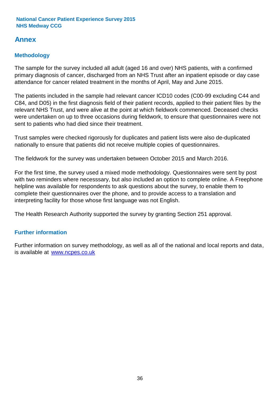### **Annex**

### **Methodology**

The sample for the survey included all adult (aged 16 and over) NHS patients, with a confirmed primary diagnosis of cancer, discharged from an NHS Trust after an inpatient episode or day case attendance for cancer related treatment in the months of April, May and June 2015.

The patients included in the sample had relevant cancer ICD10 codes (C00-99 excluding C44 and C84, and D05) in the first diagnosis field of their patient records, applied to their patient files by the relevant NHS Trust, and were alive at the point at which fieldwork commenced. Deceased checks were undertaken on up to three occasions during fieldwork, to ensure that questionnaires were not sent to patients who had died since their treatment.

Trust samples were checked rigorously for duplicates and patient lists were also de-duplicated nationally to ensure that patients did not receive multiple copies of questionnaires.

The fieldwork for the survey was undertaken between October 2015 and March 2016.

For the first time, the survey used a mixed mode methodology. Questionnaires were sent by post with two reminders where necesssary, but also included an option to complete online. A Freephone helpline was available for respondents to ask questions about the survey, to enable them to complete their questionnaires over the phone, and to provide access to a translation and interpreting facility for those whose first language was not English.

The Health Research Authority supported the survey by granting Section 251 approval.

#### **Further information**

Further information on survey methodology, as well as all of the national and local reports and data, is available at www.ncpes.co.uk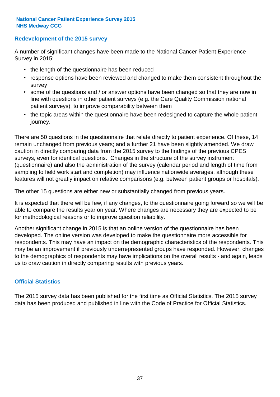#### **Redevelopment of the 2015 survey**

A number of significant changes have been made to the National Cancer Patient Experience Survey in 2015:

- the length of the questionnaire has been reduced
- response options have been reviewed and changed to make them consistent throughout the survey
- some of the questions and / or answer options have been changed so that they are now in line with questions in other patient surveys (e.g. the Care Quality Commission national patient surveys), to improve comparability between them
- the topic areas within the questionnaire have been redesigned to capture the whole patient journey.

There are 50 questions in the questionnaire that relate directly to patient experience. Of these, 14 remain unchanged from previous years; and a further 21 have been slightly amended. We draw caution in directly comparing data from the 2015 survey to the findings of the previous CPES surveys, even for identical questions. Changes in the structure of the survey instrument (questionnaire) and also the administration of the survey (calendar period and length of time from sampling to field work start and completion) may influence nationwide averages, although these features will not greatly impact on relative comparisons (e.g. between patient groups or hospitals).

The other 15 questions are either new or substantially changed from previous years.

It is expected that there will be few, if any changes, to the questionnaire going forward so we will be able to compare the results year on year. Where changes are necessary they are expected to be for methodological reasons or to improve question reliability.

Another significant change in 2015 is that an online version of the questionnaire has been developed. The online version was developed to make the questionnaire more accessible for respondents. This may have an impact on the demographic characteristics of the respondents. This may be an improvement if previously underrepresented groups have responded. However, changes to the demographics of respondents may have implications on the overall results - and again, leads us to draw caution in directly comparing results with previous years.

#### **Official Statistics**

The 2015 survey data has been published for the first time as Official Statistics. The 2015 survey data has been produced and published in line with the Code of Practice for Official Statistics.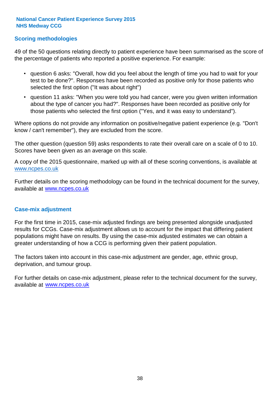#### **Scoring methodologies**

49 of the 50 questions relating directly to patient experience have been summarised as the score of the percentage of patients who reported a positive experience. For example:

- question 6 asks: "Overall, how did you feel about the length of time you had to wait for your test to be done?". Responses have been recorded as positive only for those patients who selected the first option ("It was about right")
- question 11 asks: "When you were told you had cancer, were you given written information about the type of cancer you had?". Responses have been recorded as positive only for those patients who selected the first option ("Yes, and it was easy to understand").

Where options do not provide any information on positive/negative patient experience (e.g. "Don't know / can't remember"), they are excluded from the score.

The other question (question 59) asks respondents to rate their overall care on a scale of 0 to 10. Scores have been given as an average on this scale.

A copy of the 2015 questionnaire, marked up with all of these scoring conventions, is available at www.ncpes.co.uk

Further details on the scoring methodology can be found in the technical document for the survey, available at <u>www.ncpes.co.uk</u>

#### **Case-mix adjustment**

For the first time in 2015, case-mix adjusted findings are being presented alongside unadjusted results for CCGs. Case-mix adjustment allows us to account for the impact that differing patient populations might have on results. By using the case-mix adjusted estimates we can obtain a greater understanding of how a CCG is performing given their patient population.

The factors taken into account in this case-mix adjustment are gender, age, ethnic group, deprivation, and tumour group.

For further details on case-mix adjustment, please refer to the technical document for the survey, available at www.ncpes.co.uk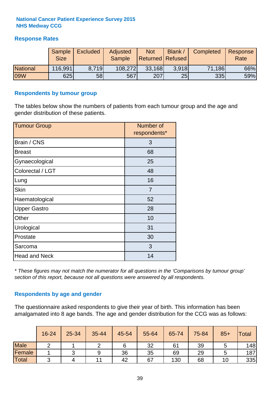#### **Response Rates**

|                 | Sample<br><b>Size</b> | Excluded | <b>Adjusted</b><br>Sample | <b>Not</b><br><b>Returned Refused</b> | Blank | Completed | Response<br>Rate |
|-----------------|-----------------------|----------|---------------------------|---------------------------------------|-------|-----------|------------------|
| <b>National</b> | 116,991               | 8.719    | 108,272                   | 33,168                                | 3.918 | 71,186    | 66%              |
| 09W             | 625                   | 58       | 567                       | 207                                   | 25    | 335       | 59%              |

#### **Respondents by tumour group**

The tables below show the numbers of patients from each tumour group and the age and gender distribution of these patients.

| <b>Tumour Group</b>  | Number of<br>respondents* |
|----------------------|---------------------------|
| Brain / CNS          | 3                         |
| <b>Breast</b>        | 68                        |
| Gynaecological       | 25                        |
| Colorectal / LGT     | 48                        |
| Lung                 | 16                        |
| <b>Skin</b>          | 7                         |
| Haematological       | 52                        |
| <b>Upper Gastro</b>  | 28                        |
| Other                | 10                        |
| Urological           | 31                        |
| Prostate             | 30                        |
| Sarcoma              | 3                         |
| <b>Head and Neck</b> | 14                        |

*\* These figures may not match the numerator for all questions in the 'Comparisons by tumour group' section of this report, because not all questions were answered by all respondents.*

#### **Respondents by age and gender**

The questionnaire asked respondents to give their year of birth. This information has been amalgamated into 8 age bands. The age and gender distribution for the CCG was as follows:

|             | 16-24 | 25-34 | 35-44 | 45-54 | 55-64 | 65-74 | 75-84 | $85+$ | <b>Total</b> |
|-------------|-------|-------|-------|-------|-------|-------|-------|-------|--------------|
| <b>Male</b> |       |       |       |       | 32    | 61    | 39    |       | 148          |
| Female      |       |       | 9     | 36    | 35    | 69    | 29    |       | 187          |
| Total       | ⌒     |       | 11    | 42    | 67    | 130   | 68    | 10    | 335          |